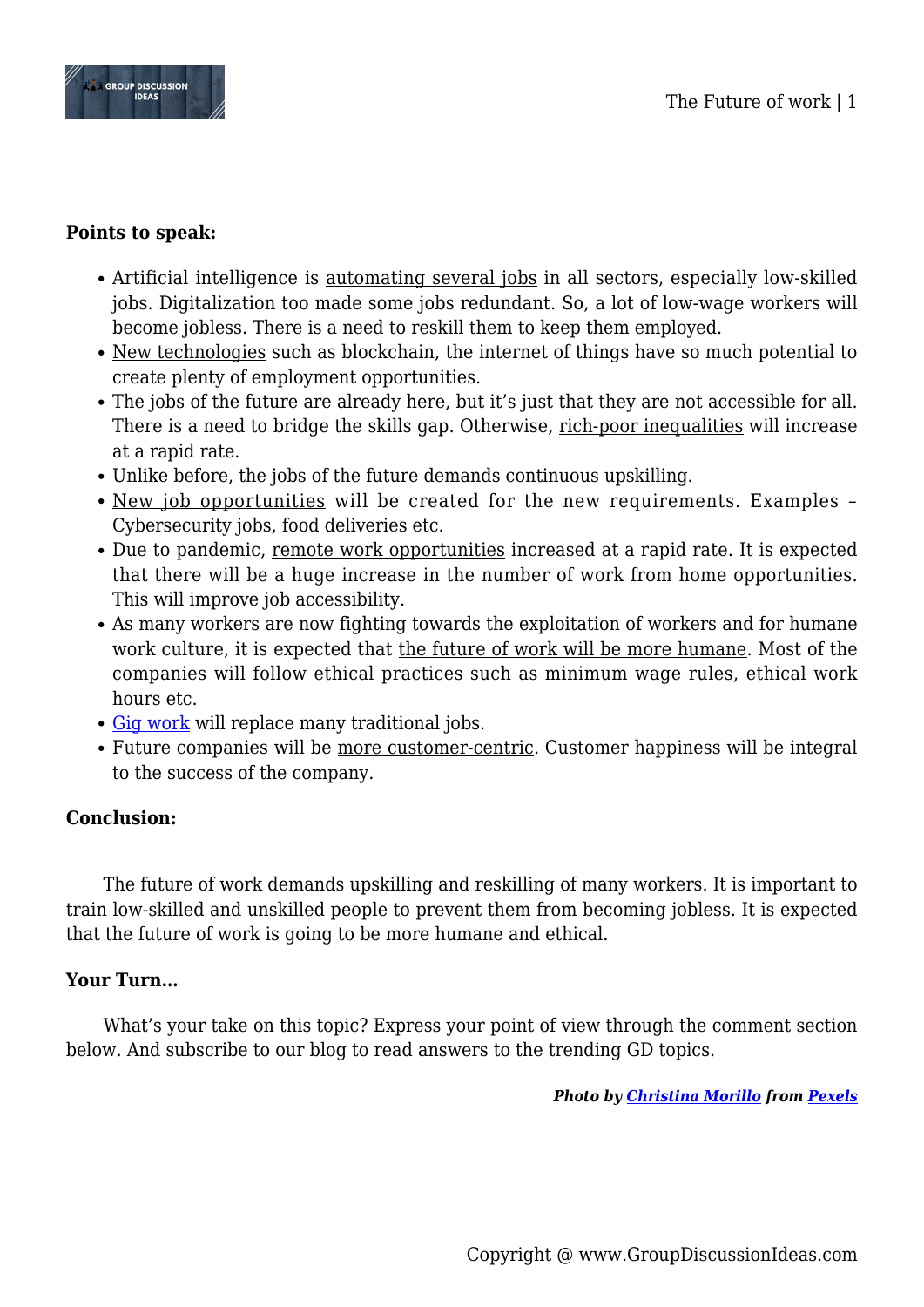

## **Points to speak:**

- Artificial intelligence is <u>automating several jobs</u> in all sectors, especially low-skilled jobs. Digitalization too made some jobs redundant. So, a lot of low-wage workers will become jobless. There is a need to reskill them to keep them employed.
- New technologies such as blockchain, the internet of things have so much potential to create plenty of employment opportunities.
- The jobs of the future are already here, but it's just that they are not accessible for all. There is a need to bridge the skills gap. Otherwise, rich-poor inequalities will increase at a rapid rate.
- Unlike before, the jobs of the future demands continuous upskilling.
- New job opportunities will be created for the new requirements. Examples Cybersecurity jobs, food deliveries etc.
- Due to pandemic, remote work opportunities increased at a rapid rate. It is expected that there will be a huge increase in the number of work from home opportunities. This will improve job accessibility.
- As many workers are now fighting towards the exploitation of workers and for humane work culture, it is expected that the future of work will be more humane. Most of the companies will follow ethical practices such as minimum wage rules, ethical work hours etc.
- [Gig work](https://www.groupdiscussionideas.com/the-rise-of-the-gig-economy/) will replace many traditional jobs.
- Future companies will be more customer-centric. Customer happiness will be integral to the success of the company.

## **Conclusion:**

The future of work demands upskilling and reskilling of many workers. It is important to train low-skilled and unskilled people to prevent them from becoming jobless. It is expected that the future of work is going to be more humane and ethical.

## **Your Turn…**

What's your take on this topic? Express your point of view through the comment section below. And subscribe to our blog to read answers to the trending GD topics.

*Photo by [Christina Morillo](https://www.pexels.com/@divinetechygirl?utm_content=attributionCopyText&utm_medium=referral&utm_source=pexels) from [Pexels](https://www.pexels.com/photo/woman-holding-macbook-1181352/?utm_content=attributionCopyText&utm_medium=referral&utm_source=pexels)*